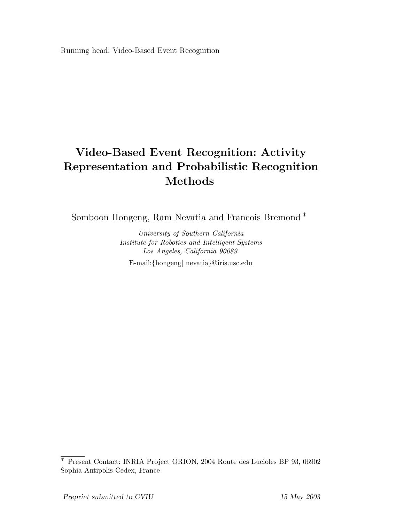Running head: Video-Based Event Recognition

# **Video-Based Event Recognition: Activity Representation and Probabilistic Recognition Methods**

Somboon Hongeng, Ram Nevatia and Francois Bremond ∗

*University of Southern California Institute for Robotics and Intelligent Systems Los Angeles, California 90089* E-mail:{hongeng| nevatia}@iris.usc.edu

<sup>∗</sup> Present Contact: INRIA Project ORION, 2004 Route des Lucioles BP 93, 06902 Sophia Antipolis Cedex, France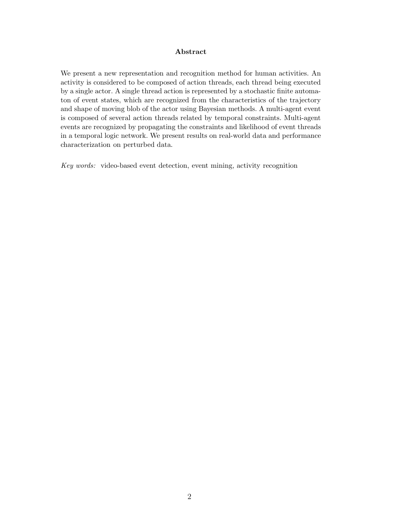#### **Abstract**

We present a new representation and recognition method for human activities. An activity is considered to be composed of action threads, each thread being executed by a single actor. A single thread action is represented by a stochastic finite automaton of event states, which are recognized from the characteristics of the trajectory and shape of moving blob of the actor using Bayesian methods. A multi-agent event is composed of several action threads related by temporal constraints. Multi-agent events are recognized by propagating the constraints and likelihood of event threads in a temporal logic network. We present results on real-world data and performance characterization on perturbed data.

*Key words:* video-based event detection, event mining, activity recognition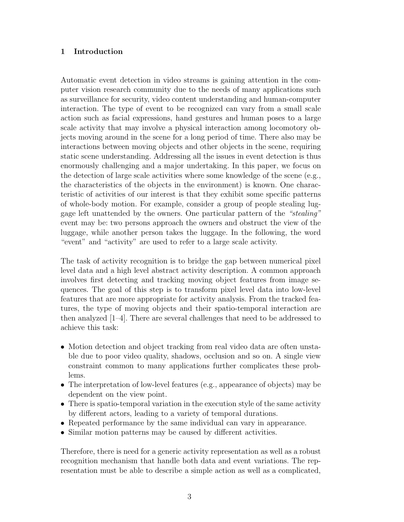# **1 Introduction**

Automatic event detection in video streams is gaining attention in the computer vision research community due to the needs of many applications such as surveillance for security, video content understanding and human-computer interaction. The type of event to be recognized can vary from a small scale action such as facial expressions, hand gestures and human poses to a large scale activity that may involve a physical interaction among locomotory objects moving around in the scene for a long period of time. There also may be interactions between moving objects and other objects in the scene, requiring static scene understanding. Addressing all the issues in event detection is thus enormously challenging and a major undertaking. In this paper, we focus on the detection of large scale activities where some knowledge of the scene (e.g., the characteristics of the objects in the environment) is known. One characteristic of activities of our interest is that they exhibit some specific patterns of whole-body motion. For example, consider a group of people stealing luggage left unattended by the owners. One particular pattern of the "stealing" event may be: two persons approach the owners and obstruct the view of the luggage, while another person takes the luggage. In the following, the word "event" and "activity" are used to refer to a large scale activity.

The task of activity recognition is to bridge the gap between numerical pixel level data and a high level abstract activity description. A common approach involves first detecting and tracking moving object features from image sequences. The goal of this step is to transform pixel level data into low-level features that are more appropriate for activity analysis. From the tracked features, the type of moving objects and their spatio-temporal interaction are then analyzed [1–4]. There are several challenges that need to be addressed to achieve this task:

- Motion detection and object tracking from real video data are often unstable due to poor video quality, shadows, occlusion and so on. A single view constraint common to many applications further complicates these problems.
- The interpretation of low-level features (e.g., appearance of objects) may be dependent on the view point.
- There is spatio-temporal variation in the execution style of the same activity by different actors, leading to a variety of temporal durations.
- Repeated performance by the same individual can vary in appearance.
- Similar motion patterns may be caused by different activities.

Therefore, there is need for a generic activity representation as well as a robust recognition mechanism that handle both data and event variations. The representation must be able to describe a simple action as well as a complicated,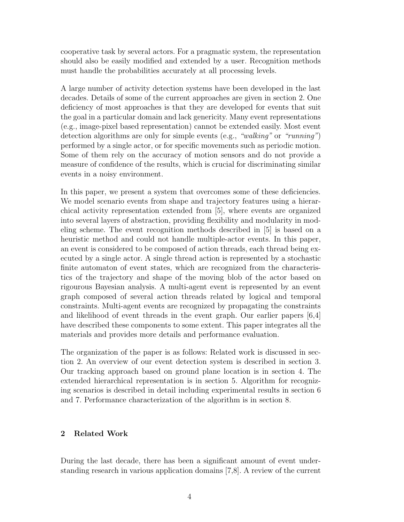cooperative task by several actors. For a pragmatic system, the representation should also be easily modified and extended by a user. Recognition methods must handle the probabilities accurately at all processing levels.

A large number of activity detection systems have been developed in the last decades. Details of some of the current approaches are given in section 2. One deficiency of most approaches is that they are developed for events that suit the goal in a particular domain and lack genericity. Many event representations (e.g., image-pixel based representation) cannot be extended easily. Most event detection algorithms are only for simple events (e.g., "walking" or "running") performed by a single actor, or for specific movements such as periodic motion. Some of them rely on the accuracy of motion sensors and do not provide a measure of confidence of the results, which is crucial for discriminating similar events in a noisy environment.

In this paper, we present a system that overcomes some of these deficiencies. We model scenario events from shape and trajectory features using a hierarchical activity representation extended from [5], where events are organized into several layers of abstraction, providing flexibility and modularity in modeling scheme. The event recognition methods described in [5] is based on a heuristic method and could not handle multiple-actor events. In this paper, an event is considered to be composed of action threads, each thread being executed by a single actor. A single thread action is represented by a stochastic finite automaton of event states, which are recognized from the characteristics of the trajectory and shape of the moving blob of the actor based on rigourous Bayesian analysis. A multi-agent event is represented by an event graph composed of several action threads related by logical and temporal constraints. Multi-agent events are recognized by propagating the constraints and likelihood of event threads in the event graph. Our earlier papers [6,4] have described these components to some extent. This paper integrates all the materials and provides more details and performance evaluation.

The organization of the paper is as follows: Related work is discussed in section 2. An overview of our event detection system is described in section 3. Our tracking approach based on ground plane location is in section 4. The extended hierarchical representation is in section 5. Algorithm for recognizing scenarios is described in detail including experimental results in section 6 and 7. Performance characterization of the algorithm is in section 8.

## **2 Related Work**

During the last decade, there has been a significant amount of event understanding research in various application domains [7,8]. A review of the current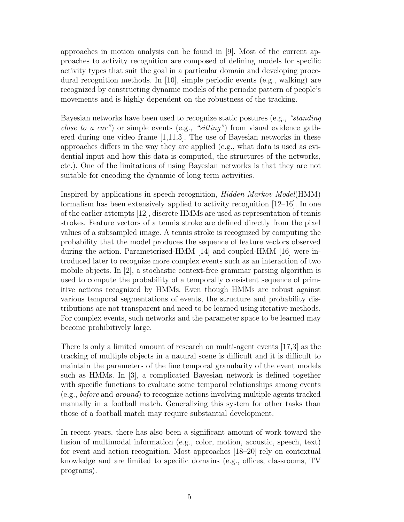approaches in motion analysis can be found in [9]. Most of the current approaches to activity recognition are composed of defining models for specific activity types that suit the goal in a particular domain and developing procedural recognition methods. In [10], simple periodic events (e.g., walking) are recognized by constructing dynamic models of the periodic pattern of people's movements and is highly dependent on the robustness of the tracking.

Bayesian networks have been used to recognize static postures (e.g., "standing *close to a car*") or simple events (e.g., "*sitting*") from visual evidence gathered during one video frame  $[1,11,3]$ . The use of Bayesian networks in these approaches differs in the way they are applied (e.g., what data is used as evidential input and how this data is computed, the structures of the networks, etc.). One of the limitations of using Bayesian networks is that they are not suitable for encoding the dynamic of long term activities.

Inspired by applications in speech recognition, Hidden Markov Model(HMM) formalism has been extensively applied to activity recognition [12–16]. In one of the earlier attempts [12], discrete HMMs are used as representation of tennis strokes. Feature vectors of a tennis stroke are defined directly from the pixel values of a subsampled image. A tennis stroke is recognized by computing the probability that the model produces the sequence of feature vectors observed during the action. Parameterized-HMM [14] and coupled-HMM [16] were introduced later to recognize more complex events such as an interaction of two mobile objects. In [2], a stochastic context-free grammar parsing algorithm is used to compute the probability of a temporally consistent sequence of primitive actions recognized by HMMs. Even though HMMs are robust against various temporal segmentations of events, the structure and probability distributions are not transparent and need to be learned using iterative methods. For complex events, such networks and the parameter space to be learned may become prohibitively large.

There is only a limited amount of research on multi-agent events [17,3] as the tracking of multiple objects in a natural scene is difficult and it is difficult to maintain the parameters of the fine temporal granularity of the event models such as HMMs. In [3], a complicated Bayesian network is defined together with specific functions to evaluate some temporal relationships among events (e.g., before and around) to recognize actions involving multiple agents tracked manually in a football match. Generalizing this system for other tasks than those of a football match may require substantial development.

In recent years, there has also been a significant amount of work toward the fusion of multimodal information (e.g., color, motion, acoustic, speech, text) for event and action recognition. Most approaches [18–20] rely on contextual knowledge and are limited to specific domains (e.g., offices, classrooms, TV programs).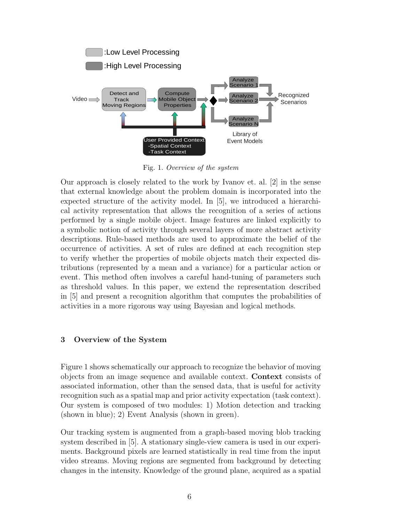

Fig. 1. *Overview of the system*

Our approach is closely related to the work by Ivanov et. al. [2] in the sense that external knowledge about the problem domain is incorporated into the expected structure of the activity model. In [5], we introduced a hierarchical activity representation that allows the recognition of a series of actions performed by a single mobile object. Image features are linked explicitly to a symbolic notion of activity through several layers of more abstract activity descriptions. Rule-based methods are used to approximate the belief of the occurrence of activities. A set of rules are defined at each recognition step to verify whether the properties of mobile objects match their expected distributions (represented by a mean and a variance) for a particular action or event. This method often involves a careful hand-tuning of parameters such as threshold values. In this paper, we extend the representation described in [5] and present a recognition algorithm that computes the probabilities of activities in a more rigorous way using Bayesian and logical methods.

# **3 Overview of the System**

Figure 1 shows schematically our approach to recognize the behavior of moving objects from an image sequence and available context. **Context** consists of associated information, other than the sensed data, that is useful for activity recognition such as a spatial map and prior activity expectation (task context). Our system is composed of two modules: 1) Motion detection and tracking (shown in blue); 2) Event Analysis (shown in green).

Our tracking system is augmented from a graph-based moving blob tracking system described in [5]. A stationary single-view camera is used in our experiments. Background pixels are learned statistically in real time from the input video streams. Moving regions are segmented from background by detecting changes in the intensity. Knowledge of the ground plane, acquired as a spatial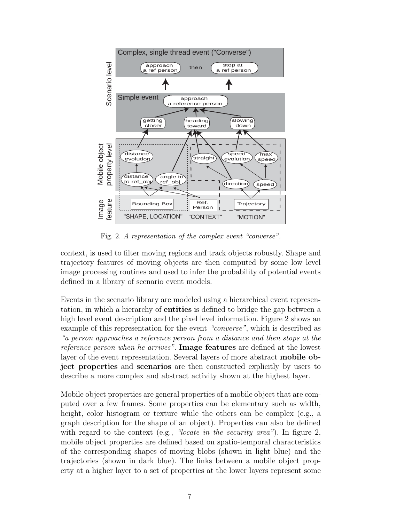

Fig. 2. *A representation of the complex event "converse".*

context, is used to filter moving regions and track objects robustly. Shape and trajectory features of moving objects are then computed by some low level image processing routines and used to infer the probability of potential events defined in a library of scenario event models.

Events in the scenario library are modeled using a hierarchical event representation, in which a hierarchy of **entities** is defined to bridge the gap between a high level event description and the pixel level information. Figure 2 shows an example of this representation for the event "converse", which is described as "a person approaches a reference person from a distance and then stops at the reference person when he arrives". **Image features** are defined at the lowest layer of the event representation. Several layers of more abstract **mobile object properties** and **scenarios** are then constructed explicitly by users to describe a more complex and abstract activity shown at the highest layer.

Mobile object properties are general properties of a mobile object that are computed over a few frames. Some properties can be elementary such as width, height, color histogram or texture while the others can be complex (e.g., a graph description for the shape of an object). Properties can also be defined with regard to the context (e.g., "locate in the security area"). In figure 2, mobile object properties are defined based on spatio-temporal characteristics of the corresponding shapes of moving blobs (shown in light blue) and the trajectories (shown in dark blue). The links between a mobile object property at a higher layer to a set of properties at the lower layers represent some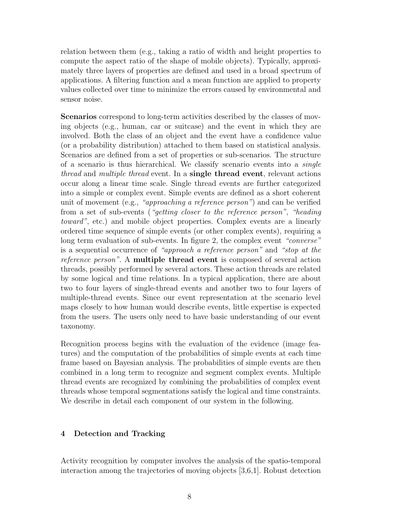relation between them (e.g., taking a ratio of width and height properties to compute the aspect ratio of the shape of mobile objects). Typically, approximately three layers of properties are defined and used in a broad spectrum of applications. A filtering function and a mean function are applied to property values collected over time to minimize the errors caused by environmental and sensor noise.

**Scenarios** correspond to long-term activities described by the classes of moving objects (e.g., human, car or suitcase) and the event in which they are involved. Both the class of an object and the event have a confidence value (or a probability distribution) attached to them based on statistical analysis. Scenarios are defined from a set of properties or sub-scenarios. The structure of a scenario is thus hierarchical. We classify scenario events into a single thread and multiple thread event. In a **single thread event**, relevant actions occur along a linear time scale. Single thread events are further categorized into a simple or complex event. Simple events are defined as a short coherent unit of movement (e.g., "approaching a reference person") and can be verified from a set of sub-events ("getting closer to the reference person", "heading toward", etc.) and mobile object properties. Complex events are a linearly ordered time sequence of simple events (or other complex events), requiring a long term evaluation of sub-events. In figure 2, the complex event "converse" is a sequential occurrence of "approach a reference person" and "stop at the reference person". A **multiple thread event** is composed of several action threads, possibly performed by several actors. These action threads are related by some logical and time relations. In a typical application, there are about two to four layers of single-thread events and another two to four layers of multiple-thread events. Since our event representation at the scenario level maps closely to how human would describe events, little expertise is expected from the users. The users only need to have basic understanding of our event taxonomy.

Recognition process begins with the evaluation of the evidence (image features) and the computation of the probabilities of simple events at each time frame based on Bayesian analysis. The probabilities of simple events are then combined in a long term to recognize and segment complex events. Multiple thread events are recognized by combining the probabilities of complex event threads whose temporal segmentations satisfy the logical and time constraints. We describe in detail each component of our system in the following.

# **4 Detection and Tracking**

Activity recognition by computer involves the analysis of the spatio-temporal interaction among the trajectories of moving objects [3,6,1]. Robust detection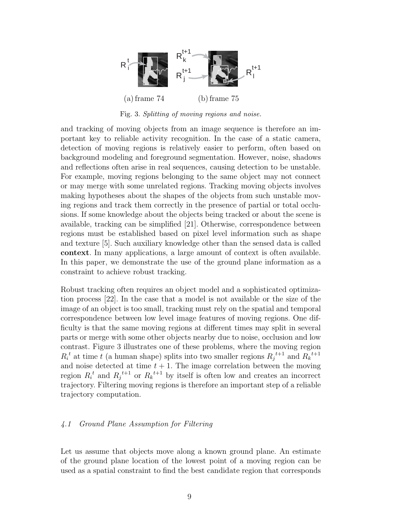

Fig. 3. *Splitting of moving regions and noise.*

and tracking of moving objects from an image sequence is therefore an important key to reliable activity recognition. In the case of a static camera, detection of moving regions is relatively easier to perform, often based on background modeling and foreground segmentation. However, noise, shadows and reflections often arise in real sequences, causing detection to be unstable. For example, moving regions belonging to the same object may not connect or may merge with some unrelated regions. Tracking moving objects involves making hypotheses about the shapes of the objects from such unstable moving regions and track them correctly in the presence of partial or total occlusions. If some knowledge about the objects being tracked or about the scene is available, tracking can be simplified [21]. Otherwise, correspondence between regions must be established based on pixel level information such as shape and texture [5]. Such auxiliary knowledge other than the sensed data is called **context**. In many applications, a large amount of context is often available. In this paper, we demonstrate the use of the ground plane information as a constraint to achieve robust tracking.

Robust tracking often requires an object model and a sophisticated optimization process [22]. In the case that a model is not available or the size of the image of an object is too small, tracking must rely on the spatial and temporal correspondence between low level image features of moving regions. One difficulty is that the same moving regions at different times may split in several parts or merge with some other objects nearby due to noise, occlusion and low contrast. Figure 3 illustrates one of these problems, where the moving region  $R_i^t$  at time t (a human shape) splits into two smaller regions  $R_j^{t+1}$  and  $R_k^{t+1}$ and noise detected at time  $t + 1$ . The image correlation between the moving region  $R_i^t$  and  $R_j^t$ <sup>t+1</sup> or  $R_k^t$ <sup>t+1</sup> by itself is often low and creates an incorrect trajectory. Filtering moving regions is therefore an important step of a reliable trajectory computation.

#### 4.1 Ground Plane Assumption for Filtering

Let us assume that objects move along a known ground plane. An estimate of the ground plane location of the lowest point of a moving region can be used as a spatial constraint to find the best candidate region that corresponds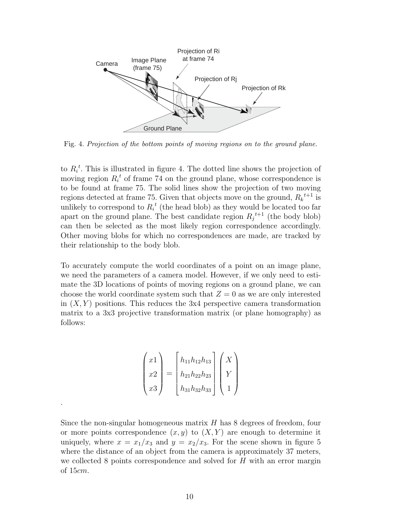

Fig. 4. *Projection of the bottom points of moving regions on to the ground plane.*

to  $R_i^t$ . This is illustrated in figure 4. The dotted line shows the projection of moving region  $R_i^t$  of frame 74 on the ground plane, whose correspondence is to be found at frame 75. The solid lines show the projection of two moving regions detected at frame 75. Given that objects move on the ground,  $R_k^{t+1}$  is unlikely to correspond to  $R_i^t$  (the head blob) as they would be located too far apart on the ground plane. The best candidate region  $R_j^{t+1}$  (the body blob) can then be selected as the most likely region correspondence accordingly. Other moving blobs for which no correspondences are made, are tracked by their relationship to the body blob.

To accurately compute the world coordinates of a point on an image plane, we need the parameters of a camera model. However, if we only need to estimate the 3D locations of points of moving regions on a ground plane, we can choose the world coordinate system such that  $Z = 0$  as we are only interested in  $(X, Y)$  positions. This reduces the 3x4 perspective camera transformation matrix to a 3x3 projective transformation matrix (or plane homography) as follows:

| $\mathbf{r}$ | $h_{11}h_{12}h_{13}$ |  |
|--------------|----------------------|--|
| $x^2$        | $h_{21}h_{22}h_{23}$ |  |
| x3           | $h_{31}h_{32}h_{33}$ |  |

.

Since the non-singular homogeneous matrix  $H$  has 8 degrees of freedom, four or more points correspondence  $(x, y)$  to  $(X, Y)$  are enough to determine it uniquely, where  $x = x_1/x_3$  and  $y = x_2/x_3$ . For the scene shown in figure 5 where the distance of an object from the camera is approximately 37 meters, we collected 8 points correspondence and solved for  $H$  with an error margin of 15cm.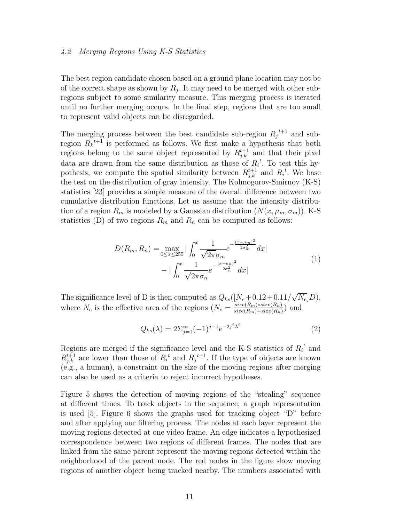# 4.2 Merging Regions Using K-S Statistics

The best region candidate chosen based on a ground plane location may not be of the correct shape as shown by  $R_i$ . It may need to be merged with other subregions subject to some similarity measure. This merging process is iterated until no further merging occurs. In the final step, regions that are too small to represent valid objects can be disregarded.

The merging process between the best candidate sub-region  $R_j^{t+1}$  and subregion  $R_k^{t+1}$  is performed as follows. We first make a hypothesis that both regions belong to the same object represented by  $R_{j,k}^{t+1}$  and that their pixel data are drawn from the same distribution as those of  $R_i^t$ . To test this hypothesis, we compute the spatial similarity between  $R_{j,k}^{t+1}$  and  $R_i^t$ . We base the test on the distribution of gray intensity. The Kolmogorov-Smirnov (K-S) statistics [23] provides a simple measure of the overall difference between two cumulative distribution functions. Let us assume that the intensity distribution of a region  $R_m$  is modeled by a Gaussian distribution  $(N(x, \mu_m, \sigma_m))$ . K-S statistics (D) of two regions  $R_m$  and  $R_n$  can be computed as follows:

$$
D(R_m, R_n) = \max_{0 \le x \le 255} |\int_0^x \frac{1}{\sqrt{2\pi}\sigma_m} e^{-\frac{(x-\mu_m)^2}{2\sigma_m^2}} dx|
$$
  

$$
-|\int_0^x \frac{1}{\sqrt{2\pi}\sigma_n} e^{-\frac{(x-\mu_n)^2}{2\sigma_n^2}} dx|
$$
 (1)

The significance level of D is then computed as  $Q_{ks}([N_e+0.12+0.11/\sqrt{N_e}]D)$ , where  $N_e$  is the effective area of the regions  $(N_e = \frac{size(R_m) * size(R_n)}{size(R_m) + size(R_n)}$  and

$$
Q_{ks}(\lambda) = 2\Sigma_{j=1}^{\infty}(-1)^{j-1}e^{-2j^2\lambda^2}
$$
\n(2)

Regions are merged if the significance level and the K-S statistics of  $R_i^{\ t}$  and  $R_{j,k}^{t+1}$  are lower than those of  $R_i^t$  and  $R_j^{t+1}$ . If the type of objects are known (e.g., a human), a constraint on the size of the moving regions after merging can also be used as a criteria to reject incorrect hypotheses.

Figure 5 shows the detection of moving regions of the "stealing" sequence at different times. To track objects in the sequence, a graph representation is used [5]. Figure 6 shows the graphs used for tracking object "D" before and after applying our filtering process. The nodes at each layer represent the moving regions detected at one video frame. An edge indicates a hypothesized correspondence between two regions of different frames. The nodes that are linked from the same parent represent the moving regions detected within the neighborhood of the parent node. The red nodes in the figure show moving regions of another object being tracked nearby. The numbers associated with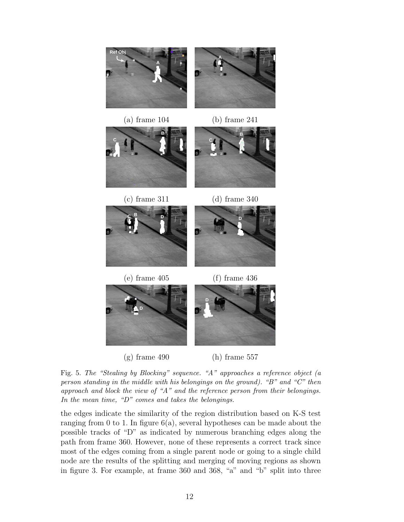

(a) frame  $104$  (b) frame  $241$ 









**D**





 $(g)$  frame 490 (h) frame 557

Fig. 5. *The "Stealing by Blocking" sequence. "A" approaches a reference object (a person standing in the middle with his belongings on the ground). "B" and "C" then approach and block the view of "A" and the reference person from their belongings. In the mean time, "D" comes and takes the belongings.*

the edges indicate the similarity of the region distribution based on K-S test ranging from 0 to 1. In figure  $6(a)$ , several hypotheses can be made about the possible tracks of "D" as indicated by numerous branching edges along the path from frame 360. However, none of these represents a correct track since most of the edges coming from a single parent node or going to a single child node are the results of the splitting and merging of moving regions as shown in figure 3. For example, at frame 360 and 368, "a" and "b" split into three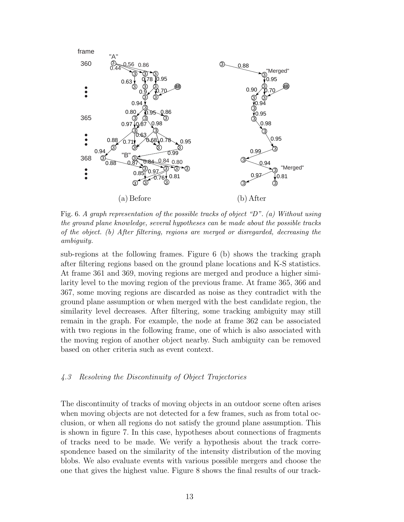

Fig. 6. *A graph representation of the possible tracks of object "D". (a) Without using the ground plane knowledge, several hypotheses can be made about the possible tracks of the object. (b) After filtering, regions are merged or disregarded, decreasing the ambiguity.*

sub-regions at the following frames. Figure 6 (b) shows the tracking graph after filtering regions based on the ground plane locations and K-S statistics. At frame 361 and 369, moving regions are merged and produce a higher similarity level to the moving region of the previous frame. At frame 365, 366 and 367, some moving regions are discarded as noise as they contradict with the ground plane assumption or when merged with the best candidate region, the similarity level decreases. After filtering, some tracking ambiguity may still remain in the graph. For example, the node at frame 362 can be associated with two regions in the following frame, one of which is also associated with the moving region of another object nearby. Such ambiguity can be removed based on other criteria such as event context.

# 4.3 Resolving the Discontinuity of Object Trajectories

The discontinuity of tracks of moving objects in an outdoor scene often arises when moving objects are not detected for a few frames, such as from total occlusion, or when all regions do not satisfy the ground plane assumption. This is shown in figure 7. In this case, hypotheses about connections of fragments of tracks need to be made. We verify a hypothesis about the track correspondence based on the similarity of the intensity distribution of the moving blobs. We also evaluate events with various possible mergers and choose the one that gives the highest value. Figure 8 shows the final results of our track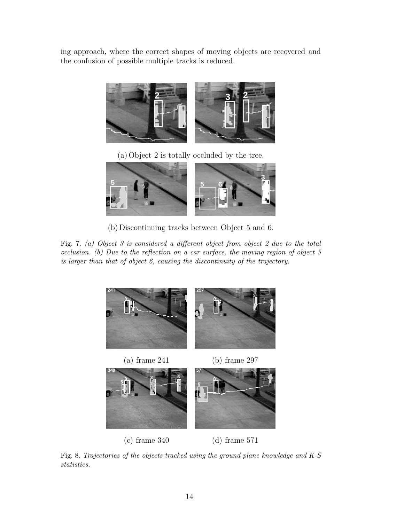ing approach, where the correct shapes of moving objects are recovered and the confusion of possible multiple tracks is reduced.



(a) Object 2 is totally occluded by the tree.



(b) Discontinuing tracks between Object 5 and 6.

Fig. 7. *(a) Object 3 is considered a different object from object 2 due to the total occlusion. (b) Due to the reflection on a car surface, the moving region of object 5 is larger than that of object 6, causing the discontinuity of the trajectory.*



Fig. 8. *Trajectories of the objects tracked using the ground plane knowledge and K-S statistics.*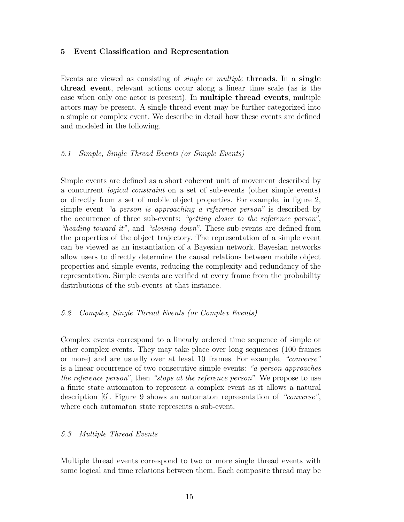# **5 Event Classification and Representation**

Events are viewed as consisting of single or multiple **threads**. In a **single thread event**, relevant actions occur along a linear time scale (as is the case when only one actor is present). In **multiple thread events**, multiple actors may be present. A single thread event may be further categorized into a simple or complex event. We describe in detail how these events are defined and modeled in the following.

## 5.1 Simple, Single Thread Events (or Simple Events)

Simple events are defined as a short coherent unit of movement described by a concurrent logical constraint on a set of sub-events (other simple events) or directly from a set of mobile object properties. For example, in figure 2, simple event "a person is approaching a reference person" is described by the occurrence of three sub-events: "getting closer to the reference person", "heading toward it", and "slowing down". These sub-events are defined from the properties of the object trajectory. The representation of a simple event can be viewed as an instantiation of a Bayesian network. Bayesian networks allow users to directly determine the causal relations between mobile object properties and simple events, reducing the complexity and redundancy of the representation. Simple events are verified at every frame from the probability distributions of the sub-events at that instance.

#### 5.2 Complex, Single Thread Events (or Complex Events)

Complex events correspond to a linearly ordered time sequence of simple or other complex events. They may take place over long sequences (100 frames or more) and are usually over at least 10 frames. For example, "converse" is a linear occurrence of two consecutive simple events: "a person approaches the reference person", then "stops at the reference person". We propose to use a finite state automaton to represent a complex event as it allows a natural description [6]. Figure 9 shows an automaton representation of "converse", where each automaton state represents a sub-event.

#### 5.3 Multiple Thread Events

Multiple thread events correspond to two or more single thread events with some logical and time relations between them. Each composite thread may be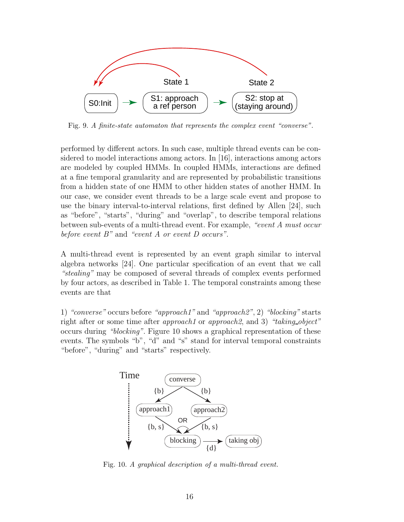

Fig. 9. *A finite-state automaton that represents the complex event "converse".*

performed by different actors. In such case, multiple thread events can be considered to model interactions among actors. In [16], interactions among actors are modeled by coupled HMMs. In coupled HMMs, interactions are defined at a fine temporal granularity and are represented by probabilistic transitions from a hidden state of one HMM to other hidden states of another HMM. In our case, we consider event threads to be a large scale event and propose to use the binary interval-to-interval relations, first defined by Allen [24], such as "before", "starts", "during" and "overlap", to describe temporal relations between sub-events of a multi-thread event. For example, "event A must occur before event  $B$ " and "event  $A$  or event  $D$  occurs".

A multi-thread event is represented by an event graph similar to interval algebra networks [24]. One particular specification of an event that we call "stealing" may be composed of several threads of complex events performed by four actors, as described in Table 1. The temporal constraints among these events are that

1) "converse" occurs before "approach1" and "approach2", 2) "blocking" starts right after or some time after *approach1* or *approach2*, and 3) "taking-object" occurs during "blocking". Figure 10 shows a graphical representation of these events. The symbols "b", "d" and "s" stand for interval temporal constraints "before", "during" and "starts" respectively.



Fig. 10. *A graphical description of a multi-thread event.*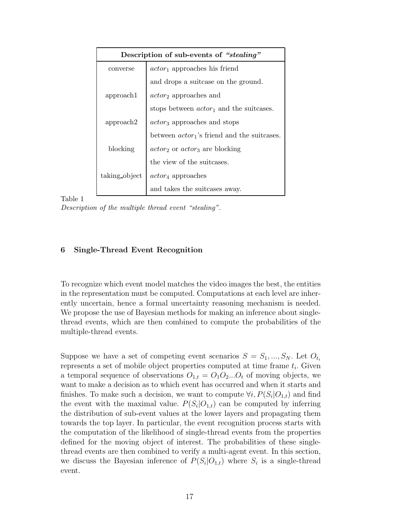| Description of sub-events of "stealing" |                                                                     |  |  |  |
|-----------------------------------------|---------------------------------------------------------------------|--|--|--|
| converse                                | $actor_1$ approaches his friend                                     |  |  |  |
|                                         | and drops a suit case on the ground.                                |  |  |  |
| approach1                               | $actor_2$ approaches and                                            |  |  |  |
|                                         | stops between $actor_1$ and the suitcases.                          |  |  |  |
| approach2                               | <i>actor</i> <sub>3</sub> approaches and stops                      |  |  |  |
|                                         | between $actor_1$ 's friend and the suitcases.                      |  |  |  |
| blocking                                | <i>actor</i> <sub>2</sub> or <i>actor</i> <sub>3</sub> are blocking |  |  |  |
|                                         | the view of the suitcases.                                          |  |  |  |
| taking object                           | $actor_4$ approaches                                                |  |  |  |
|                                         | and takes the suitcases away.                                       |  |  |  |

Table 1

*Description of the multiple thread event "stealing".*

# **6 Single-Thread Event Recognition**

To recognize which event model matches the video images the best, the entities in the representation must be computed. Computations at each level are inherently uncertain, hence a formal uncertainty reasoning mechanism is needed. We propose the use of Bayesian methods for making an inference about singlethread events, which are then combined to compute the probabilities of the multiple-thread events.

Suppose we have a set of competing event scenarios  $S = S_1, ..., S_N$ . Let  $O_{t_i}$ represents a set of mobile object properties computed at time frame  $t_i$ . Given a temporal sequence of observations  $O_{1,t} = O_1O_2...O_t$  of moving objects, we want to make a decision as to which event has occurred and when it starts and finishes. To make such a decision, we want to compute  $\forall i, P(S_i|O_{1,t})$  and find the event with the maximal value.  $P(S_i|O_{1,t})$  can be computed by inferring the distribution of sub-event values at the lower layers and propagating them towards the top layer. In particular, the event recognition process starts with the computation of the likelihood of single-thread events from the properties defined for the moving object of interest. The probabilities of these singlethread events are then combined to verify a multi-agent event. In this section, we discuss the Bayesian inference of  $P(S_i|O_{1,t})$  where  $S_i$  is a single-thread event.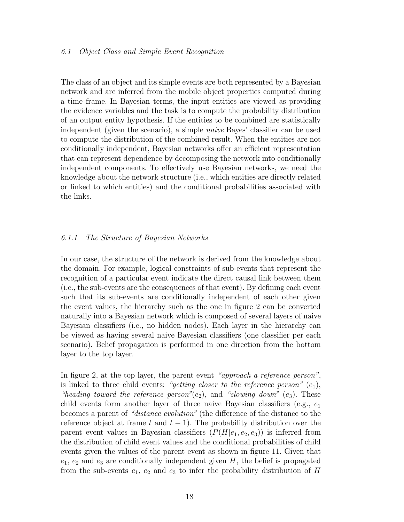#### 6.1 Object Class and Simple Event Recognition

The class of an object and its simple events are both represented by a Bayesian network and are inferred from the mobile object properties computed during a time frame. In Bayesian terms, the input entities are viewed as providing the evidence variables and the task is to compute the probability distribution of an output entity hypothesis. If the entities to be combined are statistically independent (given the scenario), a simple naive Bayes' classifier can be used to compute the distribution of the combined result. When the entities are not conditionally independent, Bayesian networks offer an efficient representation that can represent dependence by decomposing the network into conditionally independent components. To effectively use Bayesian networks, we need the knowledge about the network structure (i.e., which entities are directly related or linked to which entities) and the conditional probabilities associated with the links.

#### 6.1.1 The Structure of Bayesian Networks

In our case, the structure of the network is derived from the knowledge about the domain. For example, logical constraints of sub-events that represent the recognition of a particular event indicate the direct causal link between them (i.e., the sub-events are the consequences of that event). By defining each event such that its sub-events are conditionally independent of each other given the event values, the hierarchy such as the one in figure 2 can be converted naturally into a Bayesian network which is composed of several layers of naive Bayesian classifiers (i.e., no hidden nodes). Each layer in the hierarchy can be viewed as having several naive Bayesian classifiers (one classifier per each scenario). Belief propagation is performed in one direction from the bottom layer to the top layer.

In figure 2, at the top layer, the parent event "approach a reference person", is linked to three child events: "getting closer to the reference person"  $(e_1)$ , "heading toward the reference person"(e<sub>2</sub>), and "slowing down" (e<sub>3</sub>). These child events form another layer of three naive Bayesian classifiers (e.g.,  $e_1$ ) becomes a parent of "distance evolution" (the difference of the distance to the reference object at frame t and  $t - 1$ ). The probability distribution over the parent event values in Bayesian classifiers  $(P(H|e_1, e_2, e_3))$  is inferred from the distribution of child event values and the conditional probabilities of child events given the values of the parent event as shown in figure 11. Given that  $e_1, e_2$  and  $e_3$  are conditionally independent given H, the belief is propagated from the sub-events  $e_1, e_2$  and  $e_3$  to infer the probability distribution of H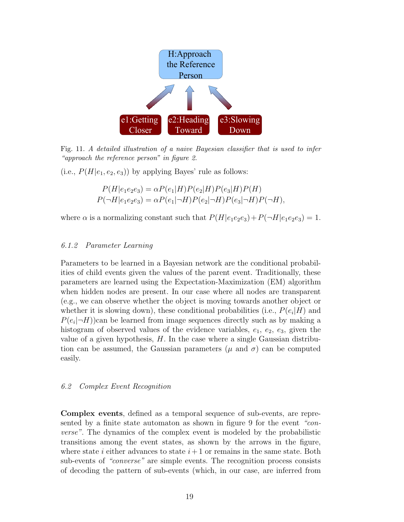

Fig. 11. *A detailed illustration of a naive Bayesian classifier that is used to infer "approach the reference person" in figure 2.*

(i.e.,  $P(H|e_1, e_2, e_3)$ ) by applying Bayes' rule as follows:

$$
P(H|e_1e_2e_3) = \alpha P(e_1|H)P(e_2|H)P(e_3|H)P(H)
$$
  

$$
P(\neg H|e_1e_2e_3) = \alpha P(e_1|\neg H)P(e_2|\neg H)P(e_3|\neg H)P(\neg H),
$$

where  $\alpha$  is a normalizing constant such that  $P(H|e_1e_2e_3)+P(\neg H|e_1e_2e_3)=1$ .

## 6.1.2 Parameter Learning

Parameters to be learned in a Bayesian network are the conditional probabilities of child events given the values of the parent event. Traditionally, these parameters are learned using the Expectation-Maximization (EM) algorithm when hidden nodes are present. In our case where all nodes are transparent (e.g., we can observe whether the object is moving towards another object or whether it is slowing down), these conditional probabilities (i.e.,  $P(e_i|H)$  and  $P(e_i|\neg H)$ )can be learned from image sequences directly such as by making a histogram of observed values of the evidence variables,  $e_1, e_2, e_3$ , given the value of a given hypothesis,  $H$ . In the case where a single Gaussian distribution can be assumed, the Gaussian parameters ( $\mu$  and  $\sigma$ ) can be computed easily.

#### 6.2 Complex Event Recognition

**Complex events**, defined as a temporal sequence of sub-events, are represented by a finite state automaton as shown in figure 9 for the event "converse". The dynamics of the complex event is modeled by the probabilistic transitions among the event states, as shown by the arrows in the figure, where state i either advances to state  $i+1$  or remains in the same state. Both sub-events of "converse" are simple events. The recognition process consists of decoding the pattern of sub-events (which, in our case, are inferred from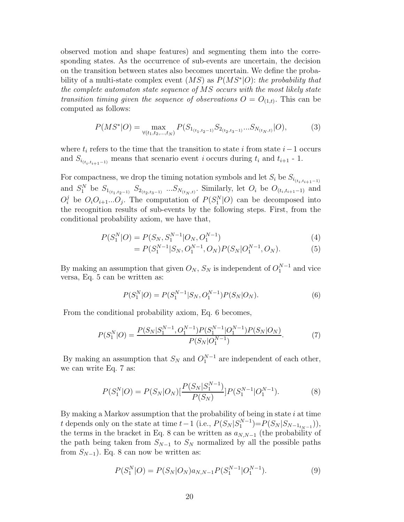observed motion and shape features) and segmenting them into the corresponding states. As the occurrence of sub-events are uncertain, the decision on the transition between states also becomes uncertain. We define the probability of a multi-state complex event  $(MS)$  as  $P(MS<sup>*</sup>|O)$ : the probability that the complete automaton state sequence of MS occurs with the most likely state transition timing given the sequence of observations  $O = O_{(1,t)}$ . This can be computed as follows:

$$
P(MS^*|O) = \max_{\forall (t_1, t_2, \dots, t_N)} P(S_{1_{(t_1, t_2-1)}} S_{2_{(t_2, t_3-1)}} \dots S_{N_{(t_N, t)}} | O), \tag{3}
$$

where  $t_i$  refers to the time that the transition to state i from state  $i-1$  occurs and  $S_{i_{(t_i,t_{i+1}-1)}}$  means that scenario event i occurs during  $t_i$  and  $t_{i+1}$  - 1.

For compactness, we drop the timing notation symbols and let  $S_i$  be  $S_{i_{(t_i,t_{i+1}-1)}}$ and  $S_1^N$  be  $S_{1_{(t_1,t_2-1)}}$   $S_{2_{(t_2,t_3-1)}}$  ...  $S_{N_{(t_N,t)}}$ . Similarly, let  $O_i$  be  $O_{(t_i,t_{i+1}-1)}$  and  $O_i^j$  be  $O_i O_{i+1} \dots O_j$ . The computation of  $P(S_1^N|O)$  can be decomposed into the recognition results of sub-events by the following steps. First, from the conditional probability axiom, we have that,

$$
P(S_1^N|O) = P(S_N, S_1^{N-1}|O_N, O_1^{N-1})
$$
\n(4)

$$
= P(S_1^{N-1}|S_N, O_1^{N-1}, O_N)P(S_N|O_1^{N-1}, O_N).
$$
 (5)

By making an assumption that given  $O_N$ ,  $S_N$  is independent of  $O_1^{N-1}$  and vice versa, Eq. 5 can be written as:

$$
P(S_1^N|O) = P(S_1^{N-1}|S_N, O_1^{N-1})P(S_N|O_N).
$$
\n(6)

From the conditional probability axiom, Eq. 6 becomes,

$$
P(S_1^N|O) = \frac{P(S_N|S_1^{N-1}, O_1^{N-1})P(S_1^{N-1}|O_1^{N-1})P(S_N|O_N)}{P(S_N|O_1^{N-1})}.\tag{7}
$$

By making an assumption that  $S_N$  and  $O_1^{N-1}$  are independent of each other, we can write Eq. 7 as:

$$
P(S_1^N|O) = P(S_N|O_N)[\frac{P(S_N|S_1^{N-1})}{P(S_N)}]P(S_1^{N-1}|O_1^{N-1}).
$$
\n(8)

By making a Markov assumption that the probability of being in state  $i$  at time t depends only on the state at time  $t-1$  (i.e.,  $P(S_N | S_1^{N-1}) = P(S_N | S_{N-1_{t_N-1}})$ ), the terms in the bracket in Eq. 8 can be written as  $a_{N,N-1}$  (the probability of the path being taken from  $S_{N-1}$  to  $S_N$  normalized by all the possible paths from  $S_{N-1}$ ). Eq. 8 can now be written as:

$$
P(S_1^N|O) = P(S_N|O_N)a_{N,N-1}P(S_1^{N-1}|O_1^{N-1}).
$$
\n(9)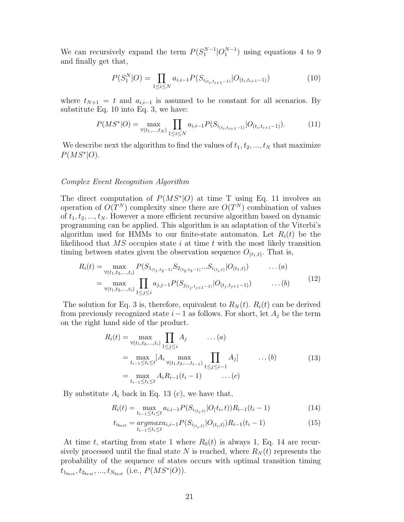We can recursively expand the term  $P(S_1^{N-1}|O_1^{N-1})$  using equations 4 to 9 and finally get that,

$$
P(S_1^N|O) = \prod_{1 \le i \le N} a_{i,i-1} P(S_{i_{(t_i, t_{i+1}-1)}}|O_{(t_i, t_{i+1}-1)})
$$
\n(10)

where  $t_{N+1} = t$  and  $a_{i,i-1}$  is assumed to be constant for all scenarios. By substitute Eq. 10 into Eq. 3, we have:

$$
P(MS^*|O) = \max_{\forall (t_1,\dots,t_N)} \prod_{1 \le i \le N} a_{i,i-1} P(S_{i_{(t_i,t_{i+1}-1)}}|O_{(t_i,t_{i+1}-1)}). \tag{11}
$$

We describe next the algorithm to find the values of  $t_1, t_2, ..., t_N$  that maximize  $P(MS^*|O)$ .

#### Complex Event Recognition Algorithm

The direct computation of  $P(MS<sup>*</sup>|O)$  at time T using Eq. 11 involves an operation of  $O(T^N)$  complexity since there are  $O(T^N)$  combination of values of  $t_1, t_2, ..., t_N$ . However a more efficient recursive algorithm based on dynamic programming can be applied. This algorithm is an adaptation of the Viterbi's algorithm used for HMMs to our finite-state automaton. Let  $R_i(t)$  be the likelihood that  $\overline{MS}$  occupies state i at time t with the most likely transition timing between states given the observation sequence  $O_{(t_1,t)}$ . That is,

$$
R_i(t) = \max_{\forall (t_1, t_2, ..., t_i)} P(S_{1_{(t_1, t_2-1)}} S_{2_{(t_2, t_3-1)}} ... S_{i_{(t_i, t)}} | O_{(t_1, t)}) \qquad \dots (a)
$$
  
= 
$$
\max_{\forall (t_1, t_2, ..., t_i)} \prod_{1 \le j \le i} a_{j, j-1} P(S_{j_{(t_j, t_{j+1}-1)}} | O_{(t_j, t_{j+1}-1)}) \qquad \dots (b)
$$
 (12)

The solution for Eq. 3 is, therefore, equivalent to  $R_N(t)$ .  $R_i(t)$  can be derived from previously recognized state  $i-1$  as follows. For short, let  $A_i$  be the term on the right hand side of the product.

$$
R_i(t) = \max_{\forall (t_1, t_2, ..., t_i)} \prod_{1 \le j \le i} A_j \qquad \dots (a)
$$
  
= 
$$
\max_{t_{i-1} \le t_i \le t} [A_i \max_{\forall (t_1, t_2, ..., t_{i-1})} \prod_{1 \le j \le i-1} A_j] \qquad \dots (b)
$$
  
= 
$$
\max_{t_{i-1} \le t_i \le t} A_i R_{i-1}(t_i - 1) \qquad \dots (c)
$$
 (13)

By substitute  $A_i$  back in Eq. 13 (c), we have that,

$$
R_i(t) = \max_{t_{i-1} \le t_i \le t} a_{i,i-1} P(S_{i_{(t_i,t)}} | O(t_i, t)) R_{i-1}(t_i - 1)
$$
\n(14)

$$
t_{i_{best}} = \underset{t_{i-1} \leq t_i \leq t}{\operatorname{argmax}} a_{i,i-1} P(S_{i_{(t_i,t)}} | O_{(t_i,t)}) R_{i-1}(t_i - 1) \tag{15}
$$

At time t, starting from state 1 where  $R_0(t)$  is always 1, Eq. 14 are recursively processed until the final state N is reached, where  $R_N(t)$  represents the probability of the sequence of states occurs with optimal transition timing  $t_{1_{best}}, t_{2_{best}}, ..., t_{N_{best}}$  (i.e.,  $P(MS^*|O)$ ).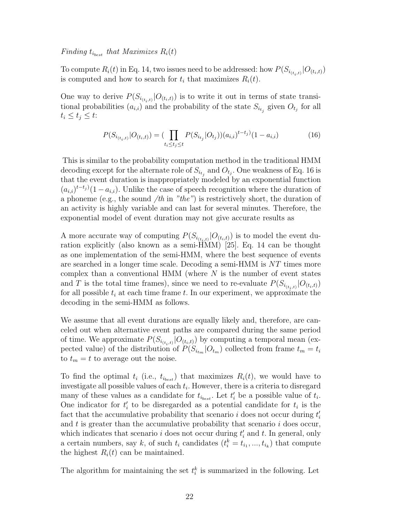Finding  $t_{i_{best}}$  that Maximizes  $R_i(t)$ 

To compute  $R_i(t)$  in Eq. 14, two issues need to be addressed: how  $P(S_{i_{(t+i)}}|O_{(t_i,t)})$ is computed and how to search for  $t_i$  that maximizes  $R_i(t)$ .

One way to derive  $P(S_{i(t_i,t)} | O_{(t_i,t)})$  is to write it out in terms of state transitional probabilities  $(a_{i,i})$  and the probability of the state  $S_{i_{t_i}}$  given  $O_{t_j}$  for all  $t_i \leq t_j \leq t$ :

$$
P(S_{i_{(t_i,t)}}|O_{(t_i,t)}) = \left(\prod_{t_i \le t_j \le t} P(S_{i_{t_j}}|O_{t_j})\right)(a_{i,i})^{t-t_j}(1-a_{i,i})\tag{16}
$$

This is similar to the probability computation method in the traditional HMM decoding except for the alternate role of  $S_{i_{t_j}}$  and  $O_{t_j}$ . One weakness of Eq. 16 is that the event duration is inappropriately modeled by an exponential function  $(a_{i,i})^{t-t_j}$  (1 −  $a_{i,i}$ ). Unlike the case of speech recognition where the duration of a phoneme (e.g., the sound  $/th$  in "the") is restrictively short, the duration of an activity is highly variable and can last for several minutes. Therefore, the exponential model of event duration may not give accurate results as

A more accurate way of computing  $P(S_{i(t_i,t)} | O_{(t_i,t)})$  is to model the event duration explicitly (also known as a semi-HMM) [25]. Eq. 14 can be thought as one implementation of the semi-HMM, where the best sequence of events are searched in a longer time scale. Decoding a semi-HMM is NT times more complex than a conventional HMM (where  $N$  is the number of event states and T is the total time frames), since we need to re-evaluate  $P(S_{i(t_i,t)} | O_{(t_i,t)})$ for all possible  $t_i$  at each time frame t. In our experiment, we approximate the decoding in the semi-HMM as follows.

We assume that all event durations are equally likely and, therefore, are canceled out when alternative event paths are compared during the same period of time. We approximate  $P(S_{i(t_i,t)} | O_{(t_i,t)})$  by computing a temporal mean (expected value) of the distribution of  $P(S_{i_{t_m}}|O_{t_m})$  collected from frame  $t_m = t_i$ to  $t_m = t$  to average out the noise.

To find the optimal  $t_i$  (i.e.,  $t_{i_{best}}$ ) that maximizes  $R_i(t)$ , we would have to investigate all possible values of each  $t_i$ . However, there is a criteria to disregard many of these values as a candidate for  $t_{i_{best}}$ . Let  $t'_{i}$  be a possible value of  $t_{i}$ . One indicator for  $t_i$  to be disregarded as a potential candidate for  $t_i$  is the fact that the accumulative probability that scenario  $i$  does not occur during  $t'_{i}$ and  $t$  is greater than the accumulative probability that scenario  $i$  does occur, which indicates that scenario  $i$  does not occur during  $t'_{i}$  and  $t$ . In general, only a certain numbers, say k, of such  $t_i$  candidates  $(t_i^k = t_{i_1}, ..., t_{i_k})$  that compute the highest  $R_i(t)$  can be maintained.

The algorithm for maintaining the set  $t_i^k$  is summarized in the following. Let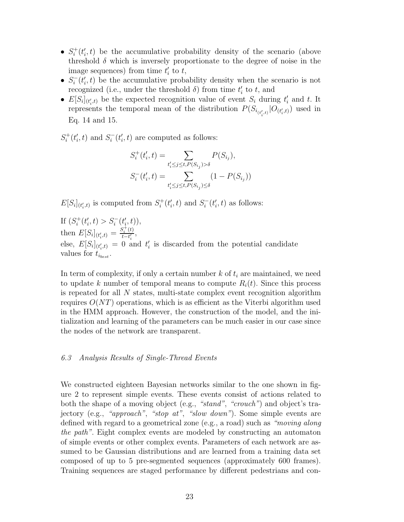- $S_i^+(t'_i, t)$  be the accumulative probability density of the scenario (above threshold  $\delta$  which is inversely proportionate to the degree of noise in the image sequences) from time  $t_i'$  to  $t$ ,
- $S_i^-(t'_i, t)$  be the accumulative probability density when the scenario is not recognized (i.e., under the threshold  $\delta$ ) from time  $t_i'$  to  $t$ , and
- $E[S_i]_{(t'_i,t)}$  be the expected recognition value of event  $S_i$  during  $t'_i$  and t. It represents the temporal mean of the distribution  $P(S_{i_{(t'_i,t)}}|O_{(t'_i,t)})$  used in Eq. 14 and 15.

 $S_i^+(t'_i, t)$  and  $S_i^-(t'_i, t)$  are computed as follows:

$$
S_i^+(t'_i, t) = \sum_{t'_i \leq j \leq t, P(S_{i_j}) > \delta} P(S_{i_j}),
$$
  

$$
S_i^-(t'_i, t) = \sum_{t'_i \leq j \leq t, P(S_{i_j}) \leq \delta} (1 - P(S_{i_j}))
$$

 $E[S_i]_{(t'_i,t)}$  is computed from  $S_i^+(t'_i,t)$  and  $S_i^-(t'_i,t)$  as follows:

If  $(S_i^+(t'_i, t) > S_i^-(t'_i, t)),$ then  $E[S_i]_{(t'_i,t)} = \frac{S_i^+(t)}{t-t'_i}$  $\frac{b_i(t)}{t-t'_i},$ else,  $E[S_i]_{(t'_i,t)} = 0$  and  $t'_i$  is discarded from the potential candidate values for  $t_{i_{best}}$ .

In term of complexity, if only a certain number  $k$  of  $t_i$  are maintained, we need to update k number of temporal means to compute  $R_i(t)$ . Since this process is repeated for all  $N$  states, multi-state complex event recognition algorithm requires  $O(NT)$  operations, which is as efficient as the Viterbi algorithm used in the HMM approach. However, the construction of the model, and the initialization and learning of the parameters can be much easier in our case since the nodes of the network are transparent.

#### 6.3 Analysis Results of Single-Thread Events

We constructed eighteen Bayesian networks similar to the one shown in figure 2 to represent simple events. These events consist of actions related to both the shape of a moving object (e.g., "stand", "crouch") and object's trajectory (e.g., "approach", "stop at", "slow down"). Some simple events are defined with regard to a geometrical zone (e.g., a road) such as "moving along the path". Eight complex events are modeled by constructing an automaton of simple events or other complex events. Parameters of each network are assumed to be Gaussian distributions and are learned from a training data set composed of up to 5 pre-segmented sequences (approximately 600 frames). Training sequences are staged performance by different pedestrians and con-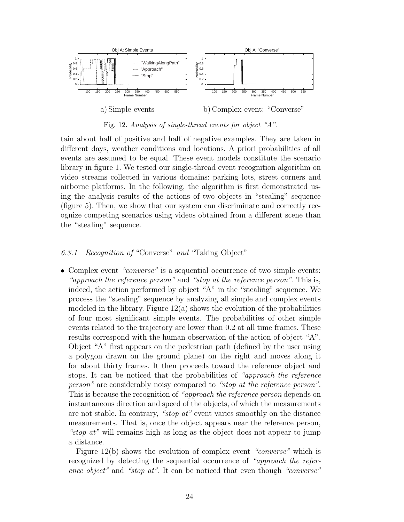

Fig. 12. *Analysis of single-thread events for object "A".*

tain about half of positive and half of negative examples. They are taken in different days, weather conditions and locations. A priori probabilities of all events are assumed to be equal. These event models constitute the scenario library in figure 1. We tested our single-thread event recognition algorithm on video streams collected in various domains: parking lots, street corners and airborne platforms. In the following, the algorithm is first demonstrated using the analysis results of the actions of two objects in "stealing" sequence (figure 5). Then, we show that our system can discriminate and correctly recognize competing scenarios using videos obtained from a different scene than the "stealing" sequence.

## 6.3.1 Recognition of "Converse" and "Taking Object"

• Complex event "converse" is a sequential occurrence of two simple events: "approach the reference person" and "stop at the reference person". This is, indeed, the action performed by object "A" in the "stealing" sequence. We process the "stealing" sequence by analyzing all simple and complex events modeled in the library. Figure  $12(a)$  shows the evolution of the probabilities of four most significant simple events. The probabilities of other simple events related to the trajectory are lower than 0.2 at all time frames. These results correspond with the human observation of the action of object "A". Object "A" first appears on the pedestrian path (defined by the user using a polygon drawn on the ground plane) on the right and moves along it for about thirty frames. It then proceeds toward the reference object and stops. It can be noticed that the probabilities of "approach the reference person" are considerably noisy compared to "stop at the reference person". This is because the recognition of "approach the reference person depends on instantaneous direction and speed of the objects, of which the measurements are not stable. In contrary, "stop at" event varies smoothly on the distance measurements. That is, once the object appears near the reference person, "stop at" will remains high as long as the object does not appear to jump a distance.

Figure 12(b) shows the evolution of complex event "*converse*" which is recognized by detecting the sequential occurrence of "approach the reference object" and "stop at". It can be noticed that even though "converse"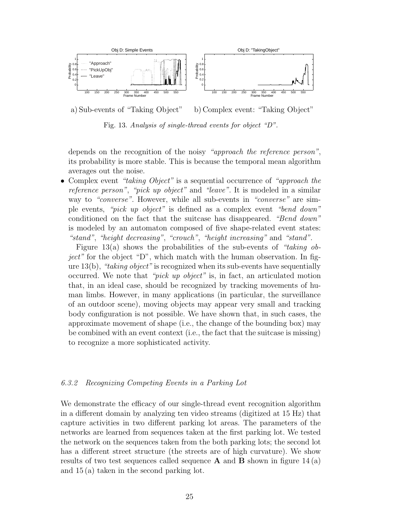

a) Sub-events of "Taking Object" b) Complex event: "Taking Object"

Fig. 13. *Analysis of single-thread events for object "D".*

depends on the recognition of the noisy "approach the reference person", its probability is more stable. This is because the temporal mean algorithm averages out the noise.

• Complex event "taking Object" is a sequential occurrence of "approach the reference person", "pick up object" and "leave". It is modeled in a similar way to "converse". However, while all sub-events in "converse" are simple events, "pick up object" is defined as a complex event "bend down" conditioned on the fact that the suitcase has disappeared. "Bend down" is modeled by an automaton composed of five shape-related event states: "stand", "height decreasing", "crouch", "height increasing" and "stand".

Figure 13(a) shows the probabilities of the sub-events of "taking object" for the object "D", which match with the human observation. In figure  $13(b)$ , "taking object" is recognized when its sub-events have sequentially occurred. We note that "pick up object" is, in fact, an articulated motion that, in an ideal case, should be recognized by tracking movements of human limbs. However, in many applications (in particular, the surveillance of an outdoor scene), moving objects may appear very small and tracking body configuration is not possible. We have shown that, in such cases, the approximate movement of shape (i.e., the change of the bounding box) may be combined with an event context (i.e., the fact that the suitcase is missing) to recognize a more sophisticated activity.

#### 6.3.2 Recognizing Competing Events in a Parking Lot

We demonstrate the efficacy of our single-thread event recognition algorithm in a different domain by analyzing ten video streams (digitized at 15 Hz) that capture activities in two different parking lot areas. The parameters of the networks are learned from sequences taken at the first parking lot. We tested the network on the sequences taken from the both parking lots; the second lot has a different street structure (the streets are of high curvature). We show results of two test sequences called sequence  $\bf{A}$  and  $\bf{B}$  shown in figure 14 (a) and 15 (a) taken in the second parking lot.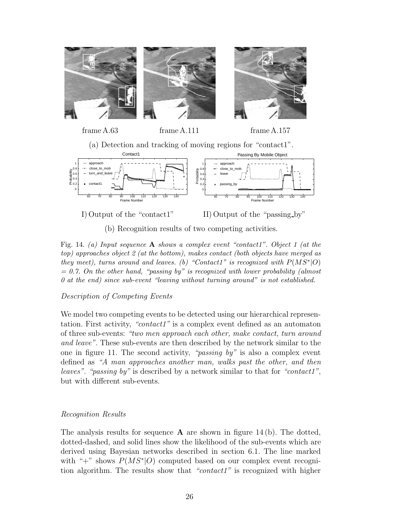



(b) Recognition results of two competing activities.

Fig. 14. *(a) Input sequence* **A** *shows a complex event "contact1". Object 1 (at the top) approaches object 2 (at the bottom), makes contact (both objects have merged as they meet), turns around and leaves. (b) "Contact1" is recognized with P*(*MS*∗|*O*) *= 0.7. On the other hand, "passing by" is recognized with lower probability (almost 0 at the end) since sub-event "leaving without turning around" is not established.*

# Description of Competing Events

We model two competing events to be detected using our hierarchical representation. First activity, "contact1" is a complex event defined as an automaton of three sub-events: "two men approach each other, make contact, turn around and leave". These sub-events are then described by the network similar to the one in figure 11. The second activity, "*passing by*" is also a complex event defined as "A man approaches another man, walks past the other, and then leaves". "passing by" is described by a network similar to that for "contact1", but with different sub-events.

# Recognition Results

The analysis results for sequence  $\bf{A}$  are shown in figure 14(b). The dotted, dotted-dashed, and solid lines show the likelihood of the sub-events which are derived using Bayesian networks described in section 6.1. The line marked with "+" shows  $P(MS<sup>*</sup>|O)$  computed based on our complex event recognition algorithm. The results show that "contact1" is recognized with higher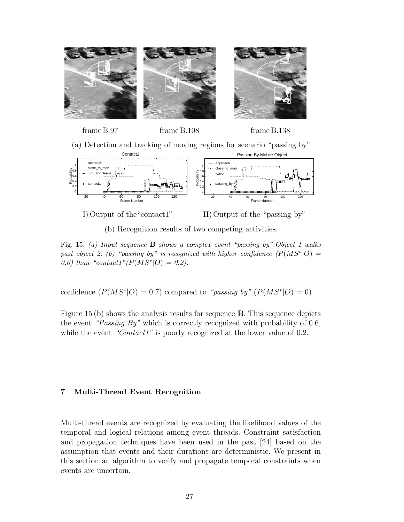



frame B.97 frame B.108 frame B.138

(a) Detection and tracking of moving regions for scenario "passing by"



I) Output of the "contact1" II) Output of the "passing by"

(b) Recognition results of two competing activities.

Fig. 15. *(a) Input sequence* **B** *shows a complex event "passing by":Object 1 walks past object 2. (b)* "*passing by" is recognized with higher confidence*  $(P(MS^*|O) =$ *0.6)* than "contact1" $(P(MS^*|O) = 0.2)$ .

confidence  $(P(MS^*|O) = 0.7)$  compared to "passing by"  $(P(MS^*|O) = 0)$ .

Figure 15 (b) shows the analysis results for sequence **B**. This sequence depicts the event "Passing By" which is correctly recognized with probability of 0.6, while the event "Contact1" is poorly recognized at the lower value of 0.2.

# **7 Multi-Thread Event Recognition**

Multi-thread events are recognized by evaluating the likelihood values of the temporal and logical relations among event threads. Constraint satisfaction and propagation techniques have been used in the past [24] based on the assumption that events and their durations are deterministic. We present in this section an algorithm to verify and propagate temporal constraints when events are uncertain.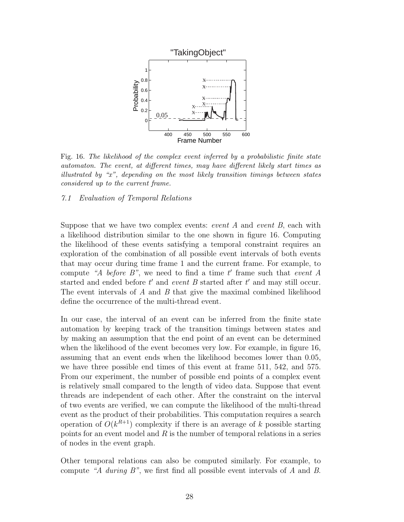

Fig. 16. *The likelihood of the complex event inferred by a probabilistic finite state automaton. The event, at different times, may have different likely start times as illustrated by "x", depending on the most likely transition timings between states considered up to the current frame.*

7.1 Evaluation of Temporal Relations

Suppose that we have two complex events: *event A* and *event B*, each with a likelihood distribution similar to the one shown in figure 16. Computing the likelihood of these events satisfying a temporal constraint requires an exploration of the combination of all possible event intervals of both events that may occur during time frame 1 and the current frame. For example, to compute "A before  $B$ ", we need to find a time t' frame such that event A started and ended before  $t'$  and event  $B$  started after  $t'$  and may still occur. The event intervals of A and B that give the maximal combined likelihood define the occurrence of the multi-thread event.

In our case, the interval of an event can be inferred from the finite state automation by keeping track of the transition timings between states and by making an assumption that the end point of an event can be determined when the likelihood of the event becomes very low. For example, in figure 16, assuming that an event ends when the likelihood becomes lower than 0.05, we have three possible end times of this event at frame 511, 542, and 575. From our experiment, the number of possible end points of a complex event is relatively small compared to the length of video data. Suppose that event threads are independent of each other. After the constraint on the interval of two events are verified, we can compute the likelihood of the multi-thread event as the product of their probabilities. This computation requires a search operation of  $O(k^{R+1})$  complexity if there is an average of k possible starting points for an event model and  $R$  is the number of temporal relations in a series of nodes in the event graph.

Other temporal relations can also be computed similarly. For example, to compute "A during B", we first find all possible event intervals of A and B.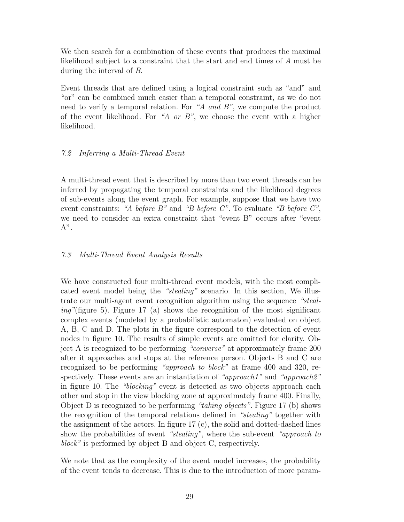We then search for a combination of these events that produces the maximal likelihood subject to a constraint that the start and end times of A must be during the interval of B.

Event threads that are defined using a logical constraint such as "and" and "or" can be combined much easier than a temporal constraint, as we do not need to verify a temporal relation. For "A and B", we compute the product of the event likelihood. For "A or B", we choose the event with a higher likelihood.

# 7.2 Inferring a Multi-Thread Event

A multi-thread event that is described by more than two event threads can be inferred by propagating the temporal constraints and the likelihood degrees of sub-events along the event graph. For example, suppose that we have two event constraints: "A before  $B$ " and "B before  $C$ ". To evaluate "B before  $C$ ", we need to consider an extra constraint that "event B" occurs after "event  $A$ ".

# 7.3 Multi-Thread Event Analysis Results

We have constructed four multi-thread event models, with the most complicated event model being the "stealing" scenario. In this section, We illustrate our multi-agent event recognition algorithm using the sequence "steal $ing''$ (figure 5). Figure 17 (a) shows the recognition of the most significant complex events (modeled by a probabilistic automaton) evaluated on object A, B, C and D. The plots in the figure correspond to the detection of event nodes in figure 10. The results of simple events are omitted for clarity. Object A is recognized to be performing "converse" at approximately frame 200 after it approaches and stops at the reference person. Objects B and C are recognized to be performing "approach to block" at frame 400 and 320, respectively. These events are an instantiation of "approach1" and "approach2" in figure 10. The "blocking" event is detected as two objects approach each other and stop in the view blocking zone at approximately frame 400. Finally, Object D is recognized to be performing "taking objects". Figure 17 (b) shows the recognition of the temporal relations defined in "stealing" together with the assignment of the actors. In figure 17 (c), the solid and dotted-dashed lines show the probabilities of event "stealing", where the sub-event "approach to block" is performed by object B and object C, respectively.

We note that as the complexity of the event model increases, the probability of the event tends to decrease. This is due to the introduction of more param-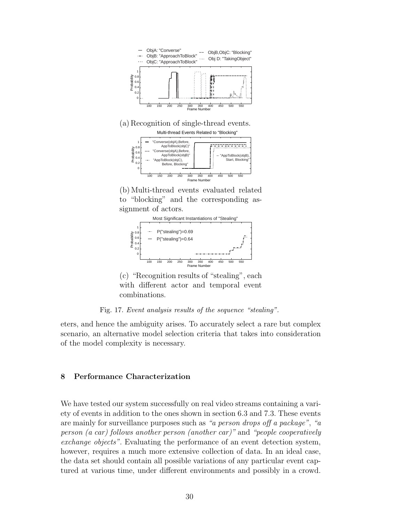

(a) Recognition of single-thread events.





(b) Multi-thread events evaluated related to "blocking" and the corresponding assignment of actors.



(c) "Recognition results of "stealing", each with different actor and temporal event combinations.

Fig. 17. *Event analysis results of the sequence "stealing".*

eters, and hence the ambiguity arises. To accurately select a rare but complex scenario, an alternative model selection criteria that takes into consideration of the model complexity is necessary.

# **8 Performance Characterization**

We have tested our system successfully on real video streams containing a variety of events in addition to the ones shown in section 6.3 and 7.3. These events are mainly for surveillance purposes such as "a person drops off a package", "a person (a car) follows another person (another car)" and "people cooperatively exchange objects". Evaluating the performance of an event detection system, however, requires a much more extensive collection of data. In an ideal case, the data set should contain all possible variations of any particular event captured at various time, under different environments and possibly in a crowd.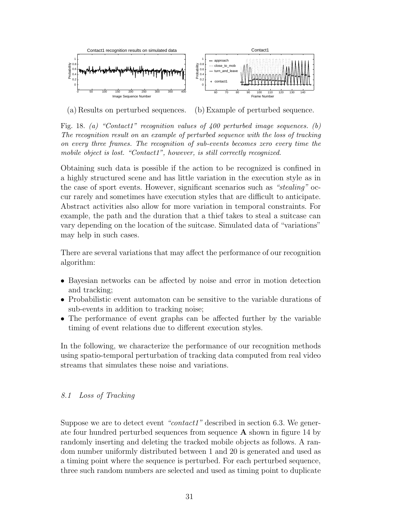

(a) Results on perturbed sequences. (b) Example of perturbed sequence.

Fig. 18. *(a) "Contact1" recognition values of 400 perturbed image sequences. (b) The recognition result on an example of perturbed sequence with the loss of tracking on every three frames. The recognition of sub-events becomes zero every time the mobile object is lost. "Contact1", however, is still correctly recognized.*

Obtaining such data is possible if the action to be recognized is confined in a highly structured scene and has little variation in the execution style as in the case of sport events. However, significant scenarios such as "stealing" occur rarely and sometimes have execution styles that are difficult to anticipate. Abstract activities also allow for more variation in temporal constraints. For example, the path and the duration that a thief takes to steal a suitcase can vary depending on the location of the suitcase. Simulated data of "variations" may help in such cases.

There are several variations that may affect the performance of our recognition algorithm:

- Bayesian networks can be affected by noise and error in motion detection and tracking;
- Probabilistic event automaton can be sensitive to the variable durations of sub-events in addition to tracking noise;
- The performance of event graphs can be affected further by the variable timing of event relations due to different execution styles.

In the following, we characterize the performance of our recognition methods using spatio-temporal perturbation of tracking data computed from real video streams that simulates these noise and variations.

# 8.1 Loss of Tracking

Suppose we are to detect event "contact1" described in section 6.3. We generate four hundred perturbed sequences from sequence **A** shown in figure 14 by randomly inserting and deleting the tracked mobile objects as follows. A random number uniformly distributed between 1 and 20 is generated and used as a timing point where the sequence is perturbed. For each perturbed sequence, three such random numbers are selected and used as timing point to duplicate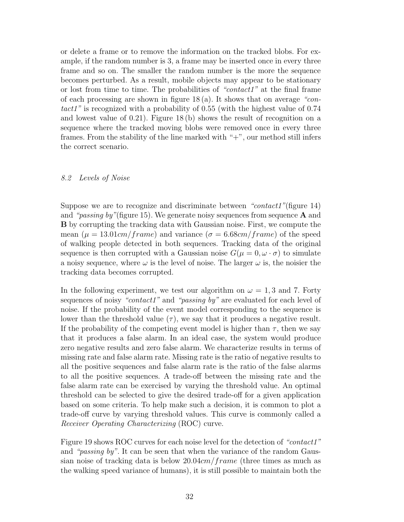or delete a frame or to remove the information on the tracked blobs. For example, if the random number is 3, a frame may be inserted once in every three frame and so on. The smaller the random number is the more the sequence becomes perturbed. As a result, mobile objects may appear to be stationary or lost from time to time. The probabilities of "contact1" at the final frame of each processing are shown in figure  $18(a)$ . It shows that on average "contact1" is recognized with a probability of 0.55 (with the highest value of 0.74 and lowest value of 0.21). Figure 18 (b) shows the result of recognition on a sequence where the tracked moving blobs were removed once in every three frames. From the stability of the line marked with "+", our method still infers the correct scenario.

## 8.2 Levels of Noise

Suppose we are to recognize and discriminate between "contact1"(figure 14) and "passing by"(figure 15). We generate noisy sequences from sequence **A** and **B** by corrupting the tracking data with Gaussian noise. First, we compute the mean  $(\mu = 13.01cm/frame)$  and variance  $(\sigma = 6.68cm/frame)$  of the speed of walking people detected in both sequences. Tracking data of the original sequence is then corrupted with a Gaussian noise  $G(\mu = 0, \omega \cdot \sigma)$  to simulate a noisy sequence, where  $\omega$  is the level of noise. The larger  $\omega$  is, the noisier the tracking data becomes corrupted.

In the following experiment, we test our algorithm on  $\omega = 1, 3$  and 7. Forty sequences of noisy "*contact1*" and "*passing by*" are evaluated for each level of noise. If the probability of the event model corresponding to the sequence is lower than the threshold value  $(\tau)$ , we say that it produces a negative result. If the probability of the competing event model is higher than  $\tau$ , then we say that it produces a false alarm. In an ideal case, the system would produce zero negative results and zero false alarm. We characterize results in terms of missing rate and false alarm rate. Missing rate is the ratio of negative results to all the positive sequences and false alarm rate is the ratio of the false alarms to all the positive sequences. A trade-off between the missing rate and the false alarm rate can be exercised by varying the threshold value. An optimal threshold can be selected to give the desired trade-off for a given application based on some criteria. To help make such a decision, it is common to plot a trade-off curve by varying threshold values. This curve is commonly called a Receiver Operating Characterizing (ROC) curve.

Figure 19 shows ROC curves for each noise level for the detection of "contact1" and "passing by". It can be seen that when the variance of the random Gaussian noise of tracking data is below  $20.04cm/frame$  (three times as much as the walking speed variance of humans), it is still possible to maintain both the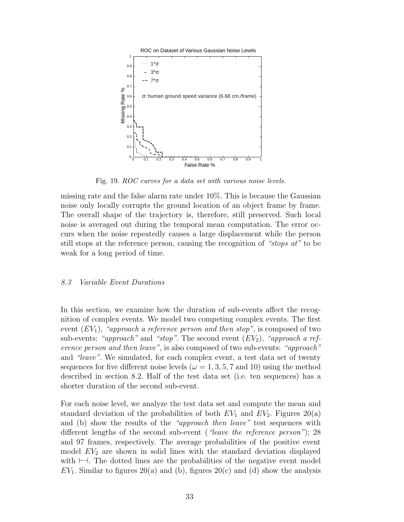

Fig. 19. *ROC curves for a data set with various noise levels.*

missing rate and the false alarm rate under 10%. This is because the Gaussian noise only locally corrupts the ground location of an object frame by frame. The overall shape of the trajectory is, therefore, still preserved. Such local noise is averaged out during the temporal mean computation. The error occurs when the noise repeatedly causes a large displacement while the person still stops at the reference person, causing the recognition of "stops at" to be weak for a long period of time.

#### 8.3 Variable Event Durations

In this section, we examine how the duration of sub-events affect the recognition of complex events. We model two competing complex events. The first event  $(EV_1)$ , "approach a reference person and then stop", is composed of two sub-events: "approach" and "stop". The second event  $(EV_2)$ , "approach a reference person and then leave", is also composed of two sub-events: "approach" and "leave". We simulated, for each complex event, a test data set of twenty sequences for five different noise levels ( $\omega = 1, 3, 5, 7$  and 10) using the method described in section 8.2. Half of the test data set (i.e. ten sequences) has a shorter duration of the second sub-event.

For each noise level, we analyze the test data set and compute the mean and standard deviation of the probabilities of both  $EV_1$  and  $EV_2$ . Figures 20(a) and (b) show the results of the "approach then leave" test sequences with different lengths of the second sub-event ("leave the reference person"); 28 and 97 frames, respectively. The average probabilities of the positive event model  $EV_2$  are shown in solid lines with the standard deviation displayed with  $\vdash \dashv$ . The dotted lines are the probabilities of the negative event model  $EV_1$ . Similar to figures 20(a) and (b), figures 20(c) and (d) show the analysis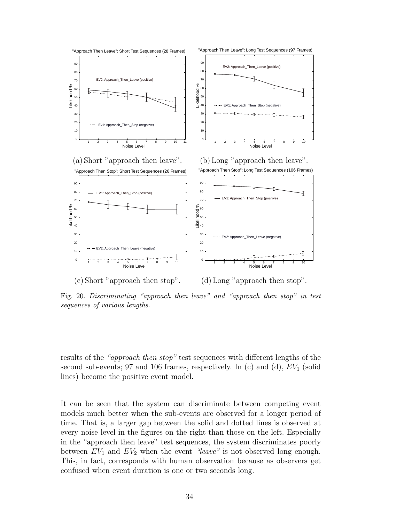

Fig. 20. *Discriminating "approach then leave" and "approach then stop" in test sequences of various lengths.*

results of the "approach then stop" test sequences with different lengths of the second sub-events; 97 and 106 frames, respectively. In (c) and (d),  $EV_1$  (solid lines) become the positive event model.

It can be seen that the system can discriminate between competing event models much better when the sub-events are observed for a longer period of time. That is, a larger gap between the solid and dotted lines is observed at every noise level in the figures on the right than those on the left. Especially in the "approach then leave" test sequences, the system discriminates poorly between  $EV_1$  and  $EV_2$  when the event "leave" is not observed long enough. This, in fact, corresponds with human observation because as observers get confused when event duration is one or two seconds long.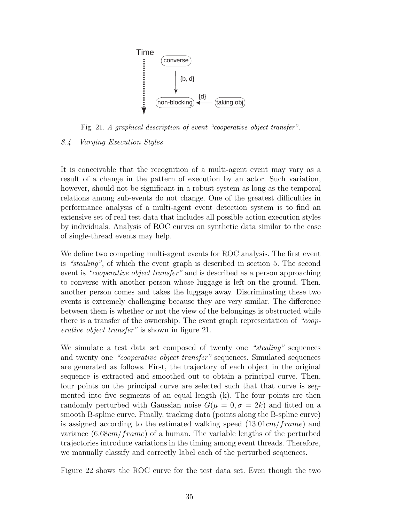

Fig. 21. *A graphical description of event "cooperative object transfer".*

# 8.4 Varying Execution Styles

It is conceivable that the recognition of a multi-agent event may vary as a result of a change in the pattern of execution by an actor. Such variation, however, should not be significant in a robust system as long as the temporal relations among sub-events do not change. One of the greatest difficulties in performance analysis of a multi-agent event detection system is to find an extensive set of real test data that includes all possible action execution styles by individuals. Analysis of ROC curves on synthetic data similar to the case of single-thread events may help.

We define two competing multi-agent events for ROC analysis. The first event is "stealing", of which the event graph is described in section 5. The second event is "*cooperative object transfer*" and is described as a person approaching to converse with another person whose luggage is left on the ground. Then, another person comes and takes the luggage away. Discriminating these two events is extremely challenging because they are very similar. The difference between them is whether or not the view of the belongings is obstructed while there is a transfer of the ownership. The event graph representation of "cooperative object transfer" is shown in figure 21.

We simulate a test data set composed of twenty one "stealing" sequences and twenty one "cooperative object transfer" sequences. Simulated sequences are generated as follows. First, the trajectory of each object in the original sequence is extracted and smoothed out to obtain a principal curve. Then, four points on the principal curve are selected such that that curve is segmented into five segments of an equal length (k). The four points are then randomly perturbed with Gaussian noise  $G(\mu = 0, \sigma = 2k)$  and fitted on a smooth B-spline curve. Finally, tracking data (points along the B-spline curve) is assigned according to the estimated walking speed  $(13.01cm/frame)$  and variance  $(6.68cm/frame)$  of a human. The variable lengths of the perturbed trajectories introduce variations in the timing among event threads. Therefore, we manually classify and correctly label each of the perturbed sequences.

Figure 22 shows the ROC curve for the test data set. Even though the two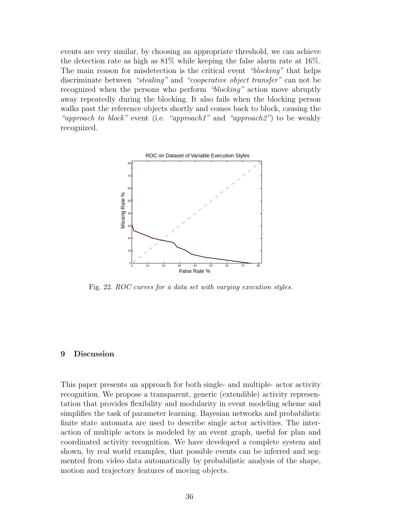events are very similar, by choosing an appropriate threshold, we can achieve the detection rate as high as 81% while keeping the false alarm rate at 16%. The main reason for misdetection is the critical event "blocking" that helps discriminate between "stealing" and "cooperative object transfer" can not be recognized when the persons who perform "blocking" action move abruptly away repeatedly during the blocking. It also fails when the blocking person walks past the reference objects shortly and comes back to block, causing the "approach to block" event (i.e. "approach1" and "approach2") to be weakly recognized.



Fig. 22. *ROC curves for a data set with varying execution styles.*

#### **9 Discussion**

This paper presents an approach for both single- and multiple- actor activity recognition. We propose a transparent, generic (extendible) activity representation that provides flexibility and modularity in event modeling scheme and simplifies the task of parameter learning. Bayesian networks and probabilistic finite state automata are used to describe single actor activities. The interaction of multiple actors is modeled by an event graph, useful for plan and coordinated activity recognition. We have developed a complete system and shown, by real world examples, that possible events can be inferred and segmented from video data automatically by probabilistic analysis of the shape, motion and trajectory features of moving objects.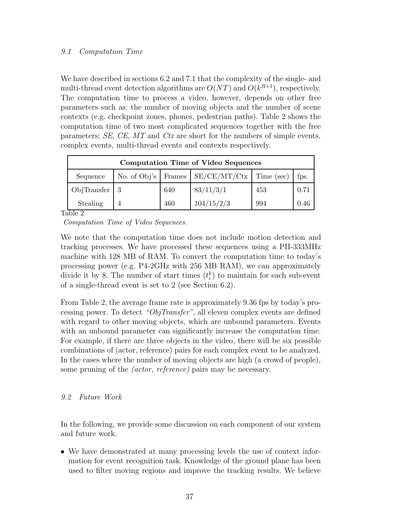# 9.1 Computation Time

We have described in sections 6.2 and 7.1 that the complexity of the single- and multi-thread event detection algorithms are  $O(NT)$  and  $O(k^{R+1})$ , respectively. The computation time to process a video, however, depends on other free parameters such as: the number of moving objects and the number of scene contexts (e.g. checkpoint zones, phones, pedestrian paths). Table 2 shows the computation time of two most complicated sequences together with the free parameters;  $SE$ ,  $CE$ ,  $MT$  and  $Ctx$  are short for the numbers of simple events, complex events, multi-thread events and contexts respectively.

| <b>Computation Time of Video Sequences</b> |              |        |                               |     |      |  |  |  |
|--------------------------------------------|--------------|--------|-------------------------------|-----|------|--|--|--|
| Sequence                                   | No. of Obj's | Frames | $\rm SE/CE/MT/Ctx$ Time (sec) |     | fps. |  |  |  |
| ObjTransfer                                |              | 640    | 83/11/3/1                     | 453 | 0.71 |  |  |  |
| Stealing                                   |              | 460    | 104/15/2/3                    | 994 | 0.46 |  |  |  |

Table 2

*Computation Time of Video Sequences.*

We note that the computation time does not include motion detection and tracking processes. We have processed these sequences using a PII-333MHz machine with 128 MB of RAM. To convert the computation time to today's processing power (e.g. P4-2GHz with 256 MB RAM), we can approximately divide it by 8. The number of start times  $(t_i^k)$  to maintain for each sub-event of a single-thread event is set to 2 (see Section 6.2).

From Table 2, the average frame rate is approximately 9.36 fps by today's processing power. To detect "ObjTransfer", all eleven complex events are defined with regard to other moving objects, which are unbound parameters. Events with an unbound parameter can significantly increase the computation time. For example, if there are three objects in the video, there will be six possible combinations of (actor, reference) pairs for each complex event to be analyzed. In the cases where the number of moving objects are high (a crowd of people), some pruning of the *(actor, reference)* pairs may be necessary.

# 9.2 Future Work

In the following, we provide some discussion on each component of our system and future work.

• We have demonstrated at many processing levels the use of context information for event recognition task. Knowledge of the ground plane has been used to filter moving regions and improve the tracking results. We believe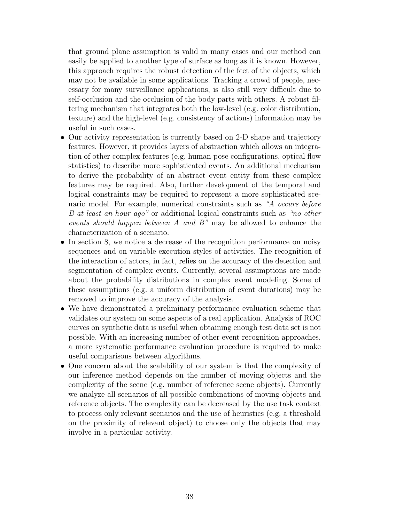that ground plane assumption is valid in many cases and our method can easily be applied to another type of surface as long as it is known. However, this approach requires the robust detection of the feet of the objects, which may not be available in some applications. Tracking a crowd of people, necessary for many surveillance applications, is also still very difficult due to self-occlusion and the occlusion of the body parts with others. A robust filtering mechanism that integrates both the low-level (e.g. color distribution, texture) and the high-level (e.g. consistency of actions) information may be useful in such cases.

- Our activity representation is currently based on 2-D shape and trajectory features. However, it provides layers of abstraction which allows an integration of other complex features (e.g. human pose configurations, optical flow statistics) to describe more sophisticated events. An additional mechanism to derive the probability of an abstract event entity from these complex features may be required. Also, further development of the temporal and logical constraints may be required to represent a more sophisticated scenario model. For example, numerical constraints such as "A occurs before B at least an hour ago" or additional logical constraints such as "no other events should happen between A and  $B$ " may be allowed to enhance the characterization of a scenario.
- In section 8, we notice a decrease of the recognition performance on noisy sequences and on variable execution styles of activities. The recognition of the interaction of actors, in fact, relies on the accuracy of the detection and segmentation of complex events. Currently, several assumptions are made about the probability distributions in complex event modeling. Some of these assumptions (e.g. a uniform distribution of event durations) may be removed to improve the accuracy of the analysis.
- We have demonstrated a preliminary performance evaluation scheme that validates our system on some aspects of a real application. Analysis of ROC curves on synthetic data is useful when obtaining enough test data set is not possible. With an increasing number of other event recognition approaches, a more systematic performance evaluation procedure is required to make useful comparisons between algorithms.
- One concern about the scalability of our system is that the complexity of our inference method depends on the number of moving objects and the complexity of the scene (e.g. number of reference scene objects). Currently we analyze all scenarios of all possible combinations of moving objects and reference objects. The complexity can be decreased by the use task context to process only relevant scenarios and the use of heuristics (e.g. a threshold on the proximity of relevant object) to choose only the objects that may involve in a particular activity.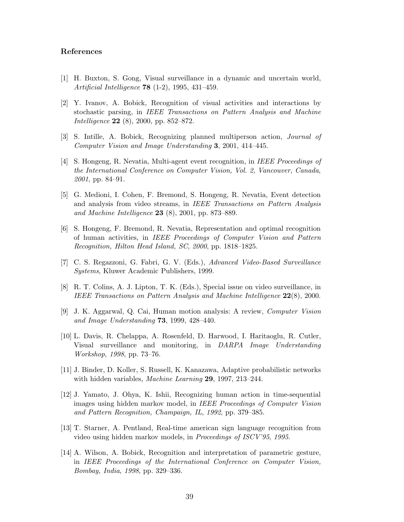# **References**

- [1] H. Buxton, S. Gong, Visual surveillance in a dynamic and uncertain world, *Artificial Intelligence* **78** (1-2), 1995, 431–459.
- [2] Y. Ivanov, A. Bobick, Recognition of visual activities and interactions by stochastic parsing, in *IEEE Transactions on Pattern Analysis and Machine Intelligence* **22** (8), 2000, pp. 852–872.
- [3] S. Intille, A. Bobick, Recognizing planned multiperson action, *Journal of Computer Vision and Image Understanding* **3**, 2001, 414–445.
- [4] S. Hongeng, R. Nevatia, Multi-agent event recognition, in *IEEE Proceedings of the International Conference on Computer Vision, Vol. 2, Vancouver, Canada*, *2001*, pp. 84–91.
- [5] G. Medioni, I. Cohen, F. Bremond, S. Hongeng, R. Nevatia, Event detection and analysis from video streams, in *IEEE Transactions on Pattern Analysis and Machine Intelligence* **23** (8), 2001, pp. 873–889.
- [6] S. Hongeng, F. Bremond, R. Nevatia, Representation and optimal recognition of human activities, in *IEEE Proceedings of Computer Vision and Pattern Recognition, Hilton Head Island, SC*, *2000*, pp. 1818–1825.
- [7] C. S. Regazzoni, G. Fabri, G. V. (Eds.), *Advanced Video-Based Surveillance Systems*, Kluwer Academic Publishers, 1999.
- [8] R. T. Colins, A. J. Lipton, T. K. (Eds.), Special issue on video surveillance, in *IEEE Transactions on Pattern Analysis and Machine Intelligence* **22**(8), 2000.
- [9] J. K. Aggarwal, Q. Cai, Human motion analysis: A review, *Computer Vision and Image Understanding* **73**, 1999, 428–440.
- [10] L. Davis, R. Chelappa, A. Rosenfeld, D. Harwood, I. Haritaoglu, R. Cutler, Visual surveillance and monitoring, in *DARPA Image Understanding Workshop*, *1998*, pp. 73–76.
- [11] J. Binder, D. Koller, S. Russell, K. Kanazawa, Adaptive probabilistic networks with hidden variables, *Machine Learning* **29**, 1997, 213–244.
- [12] J. Yamato, J. Ohya, K. Ishii, Recognizing human action in time-sequential images using hidden markov model, in *IEEE Proceedings of Computer Vision and Pattern Recognition, Champaign, IL*, *1992*, pp. 379–385.
- [13] T. Starner, A. Pentland, Real-time american sign language recognition from video using hidden markov models, in *Proceedings of ISCV'95*, *1995*.
- [14] A. Wilson, A. Bobick, Recognition and interpretation of parametric gesture, in *IEEE Proceedings of the International Conference on Computer Vision, Bombay, India*, *1998*, pp. 329–336.